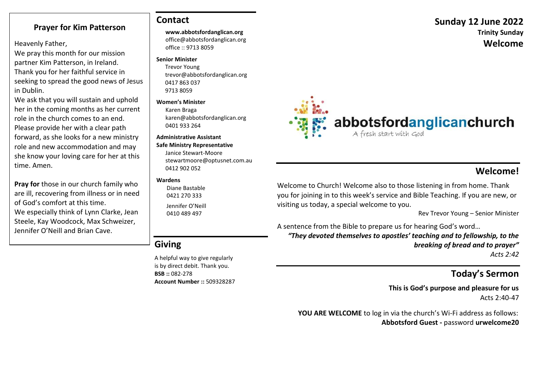### **Prayer for Kim Patterson**

Heavenly Father,

We pray this month for our mission partner Kim Patterson, in Ireland. Thank you for her faithful service in seeking to spread the good news of Jesus in Dublin.

We ask that you will sustain and uphold her in the coming months as her current role in the church comes to an end. Please provide her with a clear path forward, as she looks for a new ministry role and new accommodation and may she know your loving care for her at this time. Amen.

**Pray for** those in our church family who are ill, recovering from illness or in need of God's comfort at this time. We especially think of Lynn Clarke, Jean Steele, Kay Woodcock, Max Schweizer, Jennifer O'Neill and Brian Cave.

## **Contact**

**www.abbotsfordanglican.org**

office@abbotsfordanglican.org office :: 9713 8059

#### **Senior Minister**

 Trevor Young trevor@abbotsfordanglican.org 0417 863 037 9713 8059

#### **Women's Minister**

Karen Braga karen@abbotsfordanglican.org 0401 933 264

#### **Administrative Assistant**

**Safe Ministry Representative** Janice Stewart-Moore stewartmoore@optusnet.com.au 0412 902 052

#### **Wardens**

 Diane Bastable 0421 270 333 Jennifer O'Neill 0410 489 497

## **Giving**

A helpful way to give regularly is by direct debit. Thank you. **BSB ::** 082-278 **Account Number ::** 509328287



## **Welcome!**

Welcome to Church! Welcome also to those listening in from home. Thank you for joining in to this week's service and Bible Teaching. If you are new, or visiting us today, a special welcome to you.

Rev Trevor Young – Senior Minister

A sentence from the Bible to prepare us for hearing God's word…

*"They devoted themselves to apostles' teaching and to fellowship, to the breaking of bread and to prayer" Acts 2:42*

## **Today's Sermon**

**This is God's purpose and pleasure for us**  Acts 2:40-47

 **YOU ARE WELCOME** to log in via the church's Wi-Fi address as follows: **Abbotsford Guest -** password **urwelcome20**

# **Sunday 12 June 2022 Trinity Sunday Welcome**